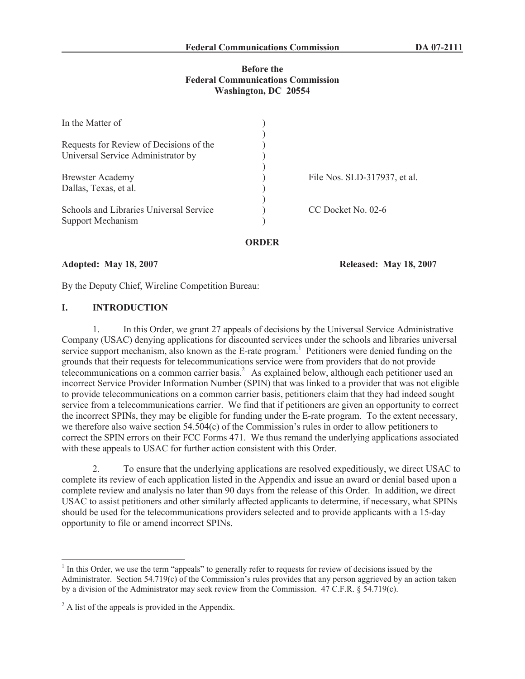## **Before the Federal Communications Commission Washington, DC 20554**

| In the Matter of                        |                              |
|-----------------------------------------|------------------------------|
|                                         |                              |
| Requests for Review of Decisions of the |                              |
| Universal Service Administrator by      |                              |
|                                         |                              |
| <b>Brewster Academy</b>                 | File Nos. SLD-317937, et al. |
| Dallas, Texas, et al.                   |                              |
|                                         |                              |
| Schools and Libraries Universal Service | CC Docket No. 02-6           |
| Support Mechanism                       |                              |
|                                         |                              |
|                                         |                              |

#### **ORDER**

#### **Adopted: May 18, 2007 Released: May 18, 2007**

By the Deputy Chief, Wireline Competition Bureau:

# **I. INTRODUCTION**

1. In this Order, we grant 27 appeals of decisions by the Universal Service Administrative Company (USAC) denying applications for discounted services under the schools and libraries universal service support mechanism, also known as the E-rate program.<sup>1</sup> Petitioners were denied funding on the grounds that their requests for telecommunications service were from providers that do not provide telecommunications on a common carrier basis.<sup>2</sup> As explained below, although each petitioner used an incorrect Service Provider Information Number (SPIN) that was linked to a provider that was not eligible to provide telecommunications on a common carrier basis, petitioners claim that they had indeed sought service from a telecommunications carrier. We find that if petitioners are given an opportunity to correct the incorrect SPINs, they may be eligible for funding under the E-rate program. To the extent necessary, we therefore also waive section 54.504(c) of the Commission's rules in order to allow petitioners to correct the SPIN errors on their FCC Forms 471. We thus remand the underlying applications associated with these appeals to USAC for further action consistent with this Order.

2. To ensure that the underlying applications are resolved expeditiously, we direct USAC to complete its review of each application listed in the Appendix and issue an award or denial based upon a complete review and analysis no later than 90 days from the release of this Order. In addition, we direct USAC to assist petitioners and other similarly affected applicants to determine, if necessary, what SPINs should be used for the telecommunications providers selected and to provide applicants with a 15-day opportunity to file or amend incorrect SPINs.

 $<sup>1</sup>$  In this Order, we use the term "appeals" to generally refer to requests for review of decisions issued by the</sup> Administrator. Section  $54.719(c)$  of the Commission's rules provides that any person aggrieved by an action taken by a division of the Administrator may seek review from the Commission. 47 C.F.R. § 54.719(c).

 $^{2}$  A list of the appeals is provided in the Appendix.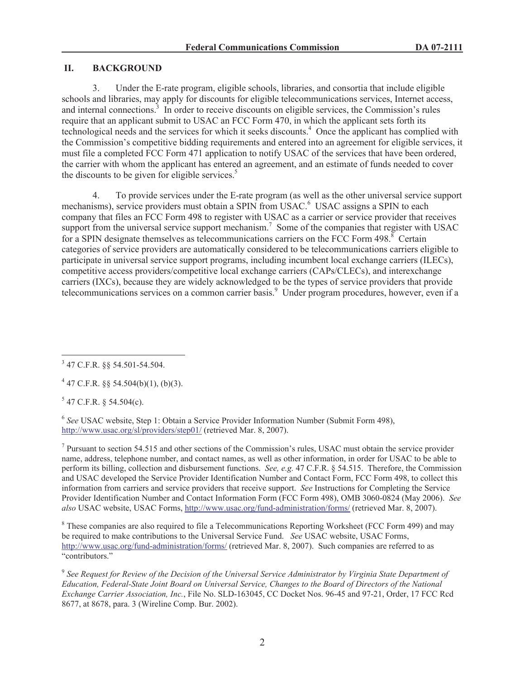# **II. BACKGROUND**

3. Under the E-rate program, eligible schools, libraries, and consortia that include eligible schools and libraries, may apply for discounts for eligible telecommunications services, Internet access, and internal connections.<sup>3</sup> In order to receive discounts on eligible services, the Commission's rules require that an applicant submit to USAC an FCC Form 470, in which the applicant sets forth its technological needs and the services for which it seeks discounts.<sup>4</sup> Once the applicant has complied with the Commission's competitive bidding requirements and entered into an agreement for eligible services, it must file a completed FCC Form 471 application to notify USAC of the services that have been ordered, the carrier with whom the applicant has entered an agreement, and an estimate of funds needed to cover the discounts to be given for eligible services.<sup>5</sup>

4. To provide services under the E-rate program (as well as the other universal service support mechanisms), service providers must obtain a SPIN from USAC.<sup>6</sup> USAC assigns a SPIN to each company that files an FCC Form 498 to register with USAC as a carrier or service provider that receives support from the universal service support mechanism.<sup>7</sup> Some of the companies that register with USAC for a SPIN designate themselves as telecommunications carriers on the FCC Form  $498.8$ <sup>8</sup> Certain categories of service providers are automatically considered to be telecommunications carriers eligible to participate in universal service support programs, including incumbent local exchange carriers (ILECs), competitive access providers/competitive local exchange carriers (CAPs/CLECs), and interexchange carriers (IXCs), because they are widely acknowledged to be the types of service providers that provide telecommunications services on a common carrier basis.<sup>9</sup> Under program procedures, however, even if a

 $5$  47 C.F.R. § 54.504(c).

6 *See* USAC website, Step 1: Obtain a Service Provider Information Number (Submit Form 498), http://www.usac.org/sl/providers/step01/ (retrieved Mar. 8, 2007).

 $<sup>7</sup>$  Pursuant to section 54.515 and other sections of the Commission's rules, USAC must obtain the service provider</sup> name, address, telephone number, and contact names, as well as other information, in order for USAC to be able to perform its billing, collection and disbursement functions. *See, e.g.* 47 C.F.R. § 54.515. Therefore, the Commission and USAC developed the Service Provider Identification Number and Contact Form, FCC Form 498, to collect this information from carriers and service providers that receive support. *See* Instructions for Completing the Service Provider Identification Number and Contact Information Form (FCC Form 498), OMB 3060-0824 (May 2006). *See also* USAC website, USAC Forms, http://www.usac.org/fund-administration/forms/ (retrieved Mar. 8, 2007).

<sup>8</sup> These companies are also required to file a Telecommunications Reporting Worksheet (FCC Form 499) and may be required to make contributions to the Universal Service Fund. *See* USAC website, USAC Forms, http://www.usac.org/fund-administration/forms/ (retrieved Mar. 8, 2007). Such companies are referred to as "contributors."

9 *See Request for Review of the Decision of the Universal Service Administrator by Virginia State Department of Education, Federal-State Joint Board on Universal Service, Changes to the Board of Directors of the National Exchange Carrier Association, Inc.*, File No. SLD-163045, CC Docket Nos. 96-45 and 97-21, Order, 17 FCC Rcd 8677, at 8678, para. 3 (Wireline Comp. Bur. 2002).

<sup>3</sup> 47 C.F.R. §§ 54.501-54.504.

 $447$  C.F.R. §§ 54.504(b)(1), (b)(3).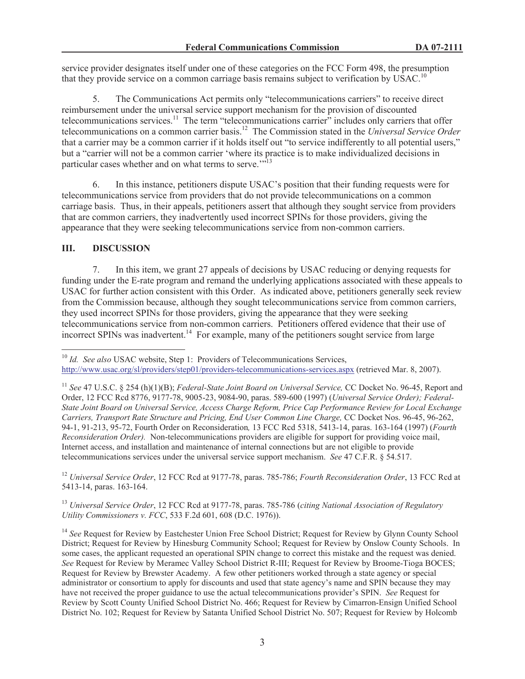service provider designates itself under one of these categories on the FCC Form 498, the presumption that they provide service on a common carriage basis remains subject to verification by USAC.<sup>10</sup>

5. The Communications Act permits only "telecommunications carriers" to receive direct reimbursement under the universal service support mechanism for the provision of discounted telecommunications services.<sup>11</sup> The term "telecommunications carrier" includes only carriers that offer telecommunications on a common carrier basis.<sup>12</sup> The Commission stated in the *Universal Service Order* that a carrier may be a common carrier if it holds itself out "to service indifferently to all potential users," but a "carrier will not be a common carrier 'where its practice is to make individualized decisions in particular cases whether and on what terms to serve."<sup>13</sup>

6. In this instance, petitioners dispute USAC's position that their funding requests were for telecommunications service from providers that do not provide telecommunications on a common carriage basis. Thus, in their appeals, petitioners assert that although they sought service from providers that are common carriers, they inadvertently used incorrect SPINs for those providers, giving the appearance that they were seeking telecommunications service from non-common carriers.

## **III. DISCUSSION**

7. In this item, we grant 27 appeals of decisions by USAC reducing or denying requests for funding under the E-rate program and remand the underlying applications associated with these appeals to USAC for further action consistent with this Order. As indicated above, petitioners generally seek review from the Commission because, although they sought telecommunications service from common carriers, they used incorrect SPINs for those providers, giving the appearance that they were seeking telecommunications service from non-common carriers. Petitioners offered evidence that their use of incorrect SPINs was inadvertent.<sup>14</sup> For example, many of the petitioners sought service from large

<sup>12</sup> *Universal Service Order*, 12 FCC Rcd at 9177-78, paras. 785-786; *Fourth Reconsideration Order*, 13 FCC Rcd at 5413-14, paras. 163-164.

<sup>13</sup> *Universal Service Order*, 12 FCC Rcd at 9177-78, paras. 785-786 (*citing National Association of Regulatory Utility Commissioners v. FCC*, 533 F.2d 601, 608 (D.C. 1976)).

<sup>14</sup> See Request for Review by Eastchester Union Free School District; Request for Review by Glynn County School District; Request for Review by Hinesburg Community School; Request for Review by Onslow County Schools. In some cases, the applicant requested an operational SPIN change to correct this mistake and the request was denied. *See* Request for Review by Meramec Valley School District R-III; Request for Review by Broome-Tioga BOCES; Request for Review by Brewster Academy. A few other petitioners worked through a state agency or special administrator or consortium to apply for discounts and used that state agency's name and SPIN because they may have not received the proper guidance to use the actual telecommunications provider's SPIN. *See* Request for Review by Scott County Unified School District No. 466; Request for Review by Cimarron-Ensign Unified School District No. 102; Request for Review by Satanta Unified School District No. 507; Request for Review by Holcomb

<sup>&</sup>lt;sup>10</sup> *Id.* See also USAC website, Step 1: Providers of Telecommunications Services, http://www.usac.org/sl/providers/step01/providers-telecommunications-services.aspx (retrieved Mar. 8, 2007).

<sup>11</sup> *See* 47 U.S.C. § 254 (h)(1)(B); *Federal-State Joint Board on Universal Service,* CC Docket No. 96-45, Report and Order, 12 FCC Rcd 8776, 9177-78, 9005-23, 9084-90, paras. 589-600 (1997) (*Universal Service Order); Federal-State Joint Board on Universal Service, Access Charge Reform, Price Cap Performance Review for Local Exchange Carriers, Transport Rate Structure and Pricing, End User Common Line Charge,* CC Docket Nos. 96-45, 96-262, 94-1, 91-213, 95-72, Fourth Order on Reconsideration*,* 13 FCC Rcd 5318, 5413-14, paras. 163-164 (1997) (*Fourth Reconsideration Order).* Non-telecommunications providers are eligible for support for providing voice mail, Internet access, and installation and maintenance of internal connections but are not eligible to provide telecommunications services under the universal service support mechanism. *See* 47 C.F.R. § 54.517.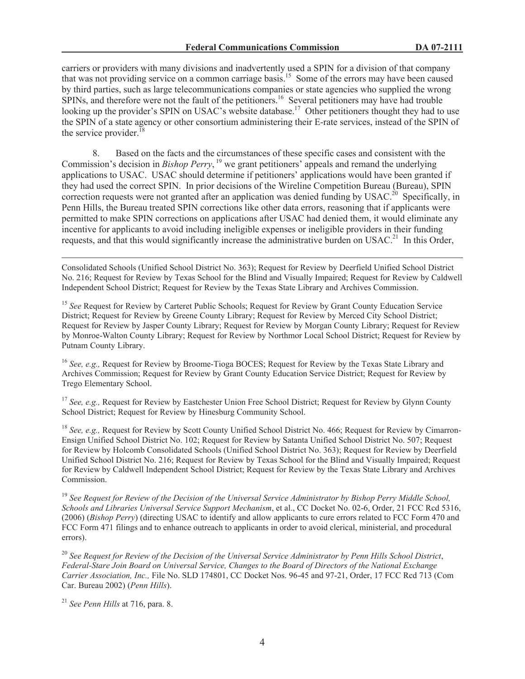carriers or providers with many divisions and inadvertently used a SPIN for a division of that company that was not providing service on a common carriage basis.<sup>15</sup> Some of the errors may have been caused by third parties, such as large telecommunications companies or state agencies who supplied the wrong  $SPINs$ , and therefore were not the fault of the petitioners.<sup>16</sup> Several petitioners may have had trouble looking up the provider's SPIN on USAC's website database.<sup>17</sup> Other petitioners thought they had to use the SPIN of a state agency or other consortium administering their E-rate services, instead of the SPIN of the service provider.<sup>18</sup>

8. Based on the facts and the circumstances of these specific cases and consistent with the Commission's decision in *Bishop Perry*, <sup>19</sup> we grant petitioners' appeals and remand the underlying applications to USAC. USAC should determine if petitioners' applications would have been granted if they had used the correct SPIN. In prior decisions of the Wireline Competition Bureau (Bureau), SPIN correction requests were not granted after an application was denied funding by USAC.<sup>20</sup> Specifically, in Penn Hills, the Bureau treated SPIN corrections like other data errors, reasoning that if applicants were permitted to make SPIN corrections on applications after USAC had denied them, it would eliminate any incentive for applicants to avoid including ineligible expenses or ineligible providers in their funding requests, and that this would significantly increase the administrative burden on USAC.<sup>21</sup> In this Order,

Consolidated Schools (Unified School District No. 363); Request for Review by Deerfield Unified School District No. 216; Request for Review by Texas School for the Blind and Visually Impaired; Request for Review by Caldwell Independent School District; Request for Review by the Texas State Library and Archives Commission.

<sup>15</sup> See Request for Review by Carteret Public Schools; Request for Review by Grant County Education Service District; Request for Review by Greene County Library; Request for Review by Merced City School District; Request for Review by Jasper County Library; Request for Review by Morgan County Library; Request for Review by Monroe-Walton County Library; Request for Review by Northmor Local School District; Request for Review by Putnam County Library.

<sup>16</sup> *See, e.g.,* Request for Review by Broome-Tioga BOCES; Request for Review by the Texas State Library and Archives Commission; Request for Review by Grant County Education Service District; Request for Review by Trego Elementary School.

<sup>17</sup> *See, e.g.*, Request for Review by Eastchester Union Free School District; Request for Review by Glynn County School District; Request for Review by Hinesburg Community School.

<sup>18</sup> *See, e.g.*, Request for Review by Scott County Unified School District No. 466; Request for Review by Cimarron-Ensign Unified School District No. 102; Request for Review by Satanta Unified School District No. 507; Request for Review by Holcomb Consolidated Schools (Unified School District No. 363); Request for Review by Deerfield Unified School District No. 216; Request for Review by Texas School for the Blind and Visually Impaired; Request for Review by Caldwell Independent School District; Request for Review by the Texas State Library and Archives Commission.

<sup>19</sup> *See Request for Review of the Decision of the Universal Service Administrator by Bishop Perry Middle School, Schools and Libraries Universal Service Support Mechanism*, et al., CC Docket No. 02-6, Order, 21 FCC Rcd 5316, (2006) (*Bishop Perry*) (directing USAC to identify and allow applicants to cure errors related to FCC Form 470 and FCC Form 471 filings and to enhance outreach to applicants in order to avoid clerical, ministerial, and procedural errors).

<sup>20</sup> *See Request for Review of the Decision of the Universal Service Administrator by Penn Hills School District*, *Federal-Stare Join Board on Universal Service, Changes to the Board of Directors of the National Exchange Carrier Association, Inc.,* File No. SLD 174801, CC Docket Nos. 96-45 and 97-21, Order, 17 FCC Rcd 713 (Com Car. Bureau 2002) (*Penn Hills*).

<sup>21</sup> *See Penn Hills* at 716, para. 8.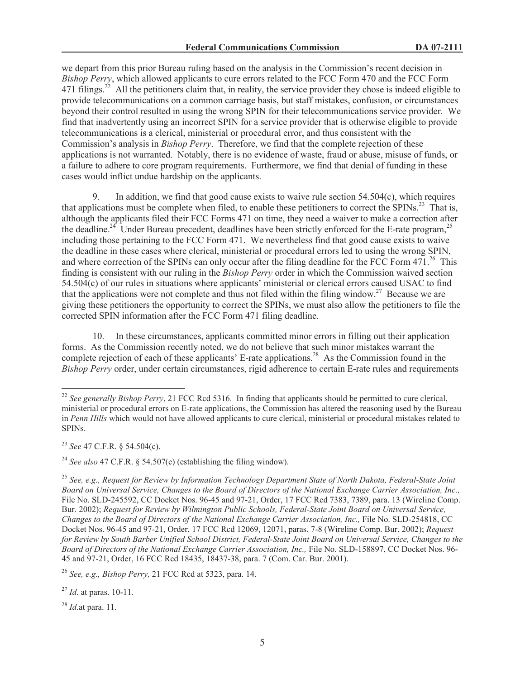we depart from this prior Bureau ruling based on the analysis in the Commission's recent decision in *Bishop Perry*, which allowed applicants to cure errors related to the FCC Form 470 and the FCC Form 471 filings.<sup>22</sup> All the petitioners claim that, in reality, the service provider they chose is indeed eligible to provide telecommunications on a common carriage basis, but staff mistakes, confusion, or circumstances beyond their control resulted in using the wrong SPIN for their telecommunications service provider. We find that inadvertently using an incorrect SPIN for a service provider that is otherwise eligible to provide telecommunications is a clerical, ministerial or procedural error, and thus consistent with the Commission's analysis in *Bishop Perry*. Therefore, we find that the complete rejection of these applications is not warranted. Notably, there is no evidence of waste, fraud or abuse, misuse of funds, or a failure to adhere to core program requirements. Furthermore, we find that denial of funding in these cases would inflict undue hardship on the applicants.

9. In addition, we find that good cause exists to waive rule section 54.504(c), which requires that applications must be complete when filed, to enable these petitioners to correct the SPINs.<sup>23</sup> That is, although the applicants filed their FCC Forms 471 on time, they need a waiver to make a correction after the deadline.<sup>24</sup> Under Bureau precedent, deadlines have been strictly enforced for the E-rate program,<sup>25</sup> including those pertaining to the FCC Form 471. We nevertheless find that good cause exists to waive the deadline in these cases where clerical, ministerial or procedural errors led to using the wrong SPIN, and where correction of the SPINs can only occur after the filing deadline for the FCC Form  $471.^{26}$  This finding is consistent with our ruling in the *Bishop Perry* order in which the Commission waived section 54.504(c) of our rules in situations where applicants' ministerial or clerical errors caused USAC to find that the applications were not complete and thus not filed within the filing window.<sup>27</sup> Because we are giving these petitioners the opportunity to correct the SPINs, we must also allow the petitioners to file the corrected SPIN information after the FCC Form 471 filing deadline.

10. In these circumstances, applicants committed minor errors in filling out their application forms. As the Commission recently noted, we do not believe that such minor mistakes warrant the complete rejection of each of these applicants' E-rate applications.<sup>28</sup> As the Commission found in the *Bishop Perry* order, under certain circumstances, rigid adherence to certain E-rate rules and requirements

<sup>&</sup>lt;sup>22</sup> *See generally Bishop Perry*, 21 FCC Rcd 5316. In finding that applicants should be permitted to cure clerical, ministerial or procedural errors on E-rate applications, the Commission has altered the reasoning used by the Bureau in *Penn Hills* which would not have allowed applicants to cure clerical, ministerial or procedural mistakes related to SPINs.

<sup>23</sup> *See* 47 C.F.R. § 54.504(c).

<sup>&</sup>lt;sup>24</sup> *See also* 47 C.F.R.  $\frac{6}{54.507(c)}$  (establishing the filing window).

<sup>25</sup> *See, e.g., Request for Review by Information Technology Department State of North Dakota, Federal-State Joint Board on Universal Service, Changes to the Board of Directors of the National Exchange Carrier Association, Inc.,*  File No. SLD-245592, CC Docket Nos. 96-45 and 97-21, Order, 17 FCC Rcd 7383, 7389, para. 13 (Wireline Comp. Bur. 2002); *Request for Review by Wilmington Public Schools, Federal-State Joint Board on Universal Service, Changes to the Board of Directors of the National Exchange Carrier Association, Inc.,* File No. SLD-254818, CC Docket Nos. 96-45 and 97-21, Order, 17 FCC Rcd 12069, 12071, paras. 7-8 (Wireline Comp. Bur. 2002); *Request for Review by South Barber Unified School District, Federal-State Joint Board on Universal Service, Changes to the Board of Directors of the National Exchange Carrier Association, Inc.,* File No. SLD-158897, CC Docket Nos. 96- 45 and 97-21, Order, 16 FCC Rcd 18435, 18437-38, para. 7 (Com. Car. Bur. 2001).

<sup>26</sup> *See, e.g., Bishop Perry,* 21 FCC Rcd at 5323, para. 14.

<sup>27</sup> *Id*. at paras. 10-11.

<sup>28</sup> *Id*.at para. 11.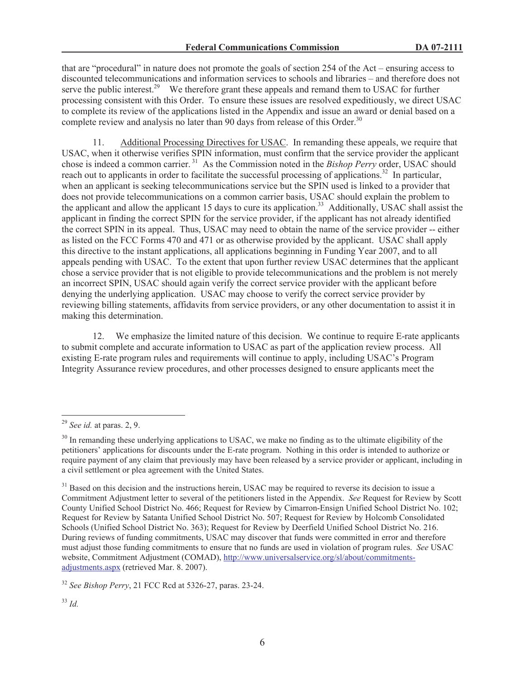that are "procedural" in nature does not promote the goals of section 254 of the Act – ensuring access to discounted telecommunications and information services to schools and libraries – and therefore does not serve the public interest.<sup>29</sup> We therefore grant these appeals and remand them to USAC for further processing consistent with this Order. To ensure these issues are resolved expeditiously, we direct USAC to complete its review of the applications listed in the Appendix and issue an award or denial based on a complete review and analysis no later than 90 days from release of this Order.<sup>30</sup>

11. Additional Processing Directives for USAC. In remanding these appeals, we require that USAC, when it otherwise verifies SPIN information, must confirm that the service provider the applicant chose is indeed a common carrier. <sup>31</sup> As the Commission noted in the *Bishop Perry* order, USAC should reach out to applicants in order to facilitate the successful processing of applications.<sup>32</sup> In particular, when an applicant is seeking telecommunications service but the SPIN used is linked to a provider that does not provide telecommunications on a common carrier basis, USAC should explain the problem to the applicant and allow the applicant 15 days to cure its application.<sup>33</sup> Additionally, USAC shall assist the applicant in finding the correct SPIN for the service provider, if the applicant has not already identified the correct SPIN in its appeal. Thus, USAC may need to obtain the name of the service provider -- either as listed on the FCC Forms 470 and 471 or as otherwise provided by the applicant. USAC shall apply this directive to the instant applications, all applications beginning in Funding Year 2007, and to all appeals pending with USAC. To the extent that upon further review USAC determines that the applicant chose a service provider that is not eligible to provide telecommunications and the problem is not merely an incorrect SPIN, USAC should again verify the correct service provider with the applicant before denying the underlying application. USAC may choose to verify the correct service provider by reviewing billing statements, affidavits from service providers, or any other documentation to assist it in making this determination.

12. We emphasize the limited nature of this decision. We continue to require E-rate applicants to submit complete and accurate information to USAC as part of the application review process. All existing E-rate program rules and requirements will continue to apply, including USAC's Program Integrity Assurance review procedures, and other processes designed to ensure applicants meet the

<sup>29</sup> *See id.* at paras. 2, 9.

 $30$  In remanding these underlying applications to USAC, we make no finding as to the ultimate eligibility of the petitioners' applications for discounts under the E-rate program. Nothing in this order is intended to authorize or require payment of any claim that previously may have been released by a service provider or applicant, including in a civil settlement or plea agreement with the United States.

<sup>&</sup>lt;sup>31</sup> Based on this decision and the instructions herein, USAC may be required to reverse its decision to issue a Commitment Adjustment letter to several of the petitioners listed in the Appendix. *See* Request for Review by Scott County Unified School District No. 466; Request for Review by Cimarron-Ensign Unified School District No. 102; Request for Review by Satanta Unified School District No. 507; Request for Review by Holcomb Consolidated Schools (Unified School District No. 363); Request for Review by Deerfield Unified School District No. 216. During reviews of funding commitments, USAC may discover that funds were committed in error and therefore must adjust those funding commitments to ensure that no funds are used in violation of program rules. *See* USAC website, Commitment Adjustment (COMAD), http://www.universalservice.org/sl/about/commitmentsadjustments.aspx (retrieved Mar. 8. 2007).

<sup>32</sup> *See Bishop Perry*, 21 FCC Rcd at 5326-27, paras. 23-24.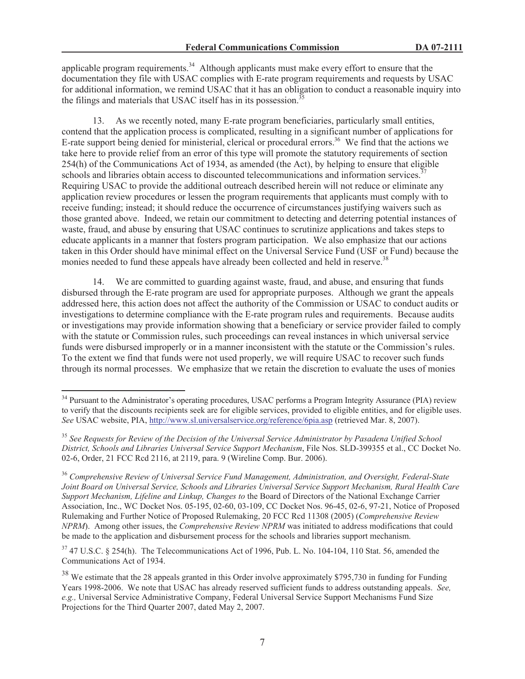applicable program requirements.<sup>34</sup> Although applicants must make every effort to ensure that the documentation they file with USAC complies with E-rate program requirements and requests by USAC for additional information, we remind USAC that it has an obligation to conduct a reasonable inquiry into the filings and materials that USAC itself has in its possession.<sup>3</sup>

13. As we recently noted, many E-rate program beneficiaries, particularly small entities, contend that the application process is complicated, resulting in a significant number of applications for E-rate support being denied for ministerial, clerical or procedural errors.<sup>36</sup> We find that the actions we take here to provide relief from an error of this type will promote the statutory requirements of section 254(h) of the Communications Act of 1934, as amended (the Act), by helping to ensure that eligible schools and libraries obtain access to discounted telecommunications and information services.<sup>3</sup> Requiring USAC to provide the additional outreach described herein will not reduce or eliminate any application review procedures or lessen the program requirements that applicants must comply with to receive funding; instead; it should reduce the occurrence of circumstances justifying waivers such as those granted above. Indeed, we retain our commitment to detecting and deterring potential instances of waste, fraud, and abuse by ensuring that USAC continues to scrutinize applications and takes steps to educate applicants in a manner that fosters program participation. We also emphasize that our actions taken in this Order should have minimal effect on the Universal Service Fund (USF or Fund) because the monies needed to fund these appeals have already been collected and held in reserve.<sup>38</sup>

14. We are committed to guarding against waste, fraud, and abuse, and ensuring that funds disbursed through the E-rate program are used for appropriate purposes. Although we grant the appeals addressed here, this action does not affect the authority of the Commission or USAC to conduct audits or investigations to determine compliance with the E-rate program rules and requirements. Because audits or investigations may provide information showing that a beneficiary or service provider failed to comply with the statute or Commission rules, such proceedings can reveal instances in which universal service funds were disbursed improperly or in a manner inconsistent with the statute or the Commission's rules. To the extent we find that funds were not used properly, we will require USAC to recover such funds through its normal processes. We emphasize that we retain the discretion to evaluate the uses of monies

<sup>&</sup>lt;sup>34</sup> Pursuant to the Administrator's operating procedures, USAC performs a Program Integrity Assurance (PIA) review to verify that the discounts recipients seek are for eligible services, provided to eligible entities, and for eligible uses. *See* USAC website, PIA, http://www.sl.universalservice.org/reference/6pia.asp (retrieved Mar. 8, 2007).

<sup>35</sup> *See Requests for Review of the Decision of the Universal Service Administrator by Pasadena Unified School District, Schools and Libraries Universal Service Support Mechanism*, File Nos. SLD-399355 et al., CC Docket No. 02-6, Order, 21 FCC Rcd 2116, at 2119, para. 9 (Wireline Comp. Bur. 2006).

<sup>36</sup> *Comprehensive Review of Universal Service Fund Management, Administration, and Oversight, Federal-State Joint Board on Universal Service, Schools and Libraries Universal Service Support Mechanism, Rural Health Care Support Mechanism, Lifeline and Linkup, Changes to* the Board of Directors of the National Exchange Carrier Association, Inc., WC Docket Nos. 05-195, 02-60, 03-109, CC Docket Nos. 96-45, 02-6, 97-21, Notice of Proposed Rulemaking and Further Notice of Proposed Rulemaking, 20 FCC Rcd 11308 (2005) (*Comprehensive Review NPRM*). Among other issues, the *Comprehensive Review NPRM* was initiated to address modifications that could be made to the application and disbursement process for the schools and libraries support mechanism.

<sup>&</sup>lt;sup>37</sup> 47 U.S.C. § 254(h). The Telecommunications Act of 1996, Pub. L. No. 104-104, 110 Stat. 56, amended the Communications Act of 1934.

<sup>&</sup>lt;sup>38</sup> We estimate that the 28 appeals granted in this Order involve approximately \$795,730 in funding for Funding Years 1998-2006. We note that USAC has already reserved sufficient funds to address outstanding appeals. *See, e.g.,* Universal Service Administrative Company, Federal Universal Service Support Mechanisms Fund Size Projections for the Third Quarter 2007, dated May 2, 2007.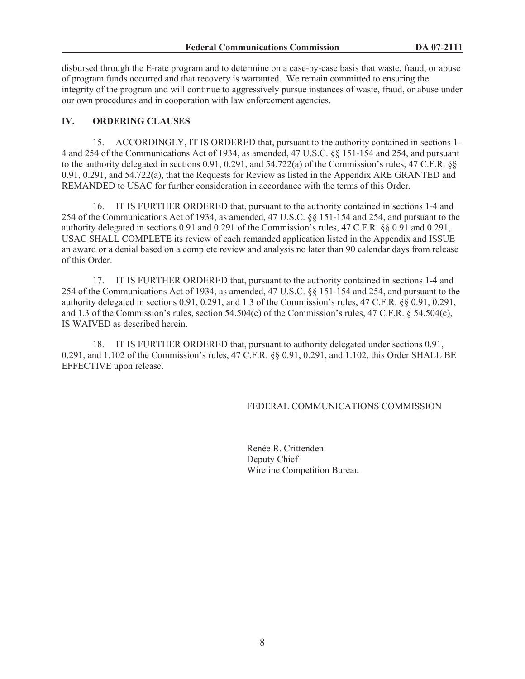disbursed through the E-rate program and to determine on a case-by-case basis that waste, fraud, or abuse of program funds occurred and that recovery is warranted. We remain committed to ensuring the integrity of the program and will continue to aggressively pursue instances of waste, fraud, or abuse under our own procedures and in cooperation with law enforcement agencies.

# **IV. ORDERING CLAUSES**

15. ACCORDINGLY, IT IS ORDERED that, pursuant to the authority contained in sections 1- 4 and 254 of the Communications Act of 1934, as amended, 47 U.S.C. §§ 151-154 and 254, and pursuant to the authority delegated in sections 0.91, 0.291, and 54.722(a) of the Commission's rules, 47 C.F.R. §§ 0.91, 0.291, and 54.722(a), that the Requests for Review as listed in the Appendix ARE GRANTED and REMANDED to USAC for further consideration in accordance with the terms of this Order.

16. IT IS FURTHER ORDERED that, pursuant to the authority contained in sections 1-4 and 254 of the Communications Act of 1934, as amended, 47 U.S.C. §§ 151-154 and 254, and pursuant to the authority delegated in sections 0.91 and 0.291 of the Commission's rules, 47 C.F.R. §§ 0.91 and 0.291, USAC SHALL COMPLETE its review of each remanded application listed in the Appendix and ISSUE an award or a denial based on a complete review and analysis no later than 90 calendar days from release of this Order.

17. IT IS FURTHER ORDERED that, pursuant to the authority contained in sections 1-4 and 254 of the Communications Act of 1934, as amended, 47 U.S.C. §§ 151-154 and 254, and pursuant to the authority delegated in sections 0.91, 0.291, and 1.3 of the Commission's rules, 47 C.F.R. §§ 0.91, 0.291, and 1.3 of the Commission's rules, section 54.504(c) of the Commission's rules, 47 C.F.R. § 54.504(c), IS WAIVED as described herein.

18. IT IS FURTHER ORDERED that, pursuant to authority delegated under sections 0.91, 0.291, and 1.102 of the Commission's rules, 47 C.F.R. §§ 0.91, 0.291, and 1.102, this Order SHALL BE EFFECTIVE upon release.

## FEDERAL COMMUNICATIONS COMMISSION

Renée R. Crittenden Deputy Chief Wireline Competition Bureau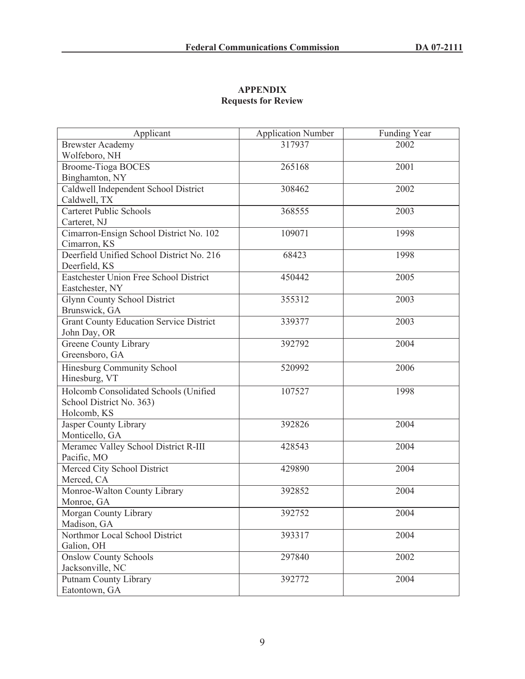# **APPENDIX Requests for Review**

| Applicant                                      | <b>Application Number</b> | <b>Funding Year</b> |
|------------------------------------------------|---------------------------|---------------------|
| <b>Brewster Academy</b>                        | 317937                    | 2002                |
| Wolfeboro, NH                                  |                           |                     |
| <b>Broome-Tioga BOCES</b>                      | 265168                    | 2001                |
| Binghamton, NY                                 |                           |                     |
| Caldwell Independent School District           | 308462                    | 2002                |
| Caldwell, TX                                   |                           |                     |
| <b>Carteret Public Schools</b>                 | 368555                    | 2003                |
| Carteret, NJ                                   |                           |                     |
| Cimarron-Ensign School District No. 102        | 109071                    | 1998                |
| Cimarron, KS                                   |                           |                     |
| Deerfield Unified School District No. 216      | 68423                     | 1998                |
| Deerfield, KS                                  |                           |                     |
| Eastchester Union Free School District         | 450442                    | 2005                |
| Eastchester, NY                                |                           |                     |
| <b>Glynn County School District</b>            | 355312                    | 2003                |
| Brunswick, GA                                  |                           |                     |
| <b>Grant County Education Service District</b> | 339377                    | 2003                |
| John Day, OR                                   |                           |                     |
| Greene County Library                          | 392792                    | 2004                |
| Greensboro, GA                                 |                           |                     |
| Hinesburg Community School                     | 520992                    | 2006                |
| Hinesburg, VT                                  |                           |                     |
| Holcomb Consolidated Schools (Unified          | 107527                    | 1998                |
| School District No. 363)                       |                           |                     |
| Holcomb, KS                                    |                           |                     |
| Jasper County Library                          | 392826                    | 2004                |
| Monticello, GA                                 |                           |                     |
| Meramec Valley School District R-III           | 428543                    | 2004                |
| Pacific, MO                                    |                           |                     |
| Merced City School District                    | 429890                    | 2004                |
| Merced, CA                                     |                           |                     |
| Monroe-Walton County Library                   | 392852                    | 2004                |
| Monroe, GA                                     |                           |                     |
| Morgan County Library                          | 392752                    | 2004                |
| Madison, GA                                    |                           |                     |
| Northmor Local School District                 | 393317                    | 2004                |
| Galion, OH                                     |                           |                     |
| <b>Onslow County Schools</b>                   | 297840                    | 2002                |
| Jacksonville, NC                               |                           |                     |
| Putnam County Library                          | 392772                    | 2004                |
| Eatontown, GA                                  |                           |                     |